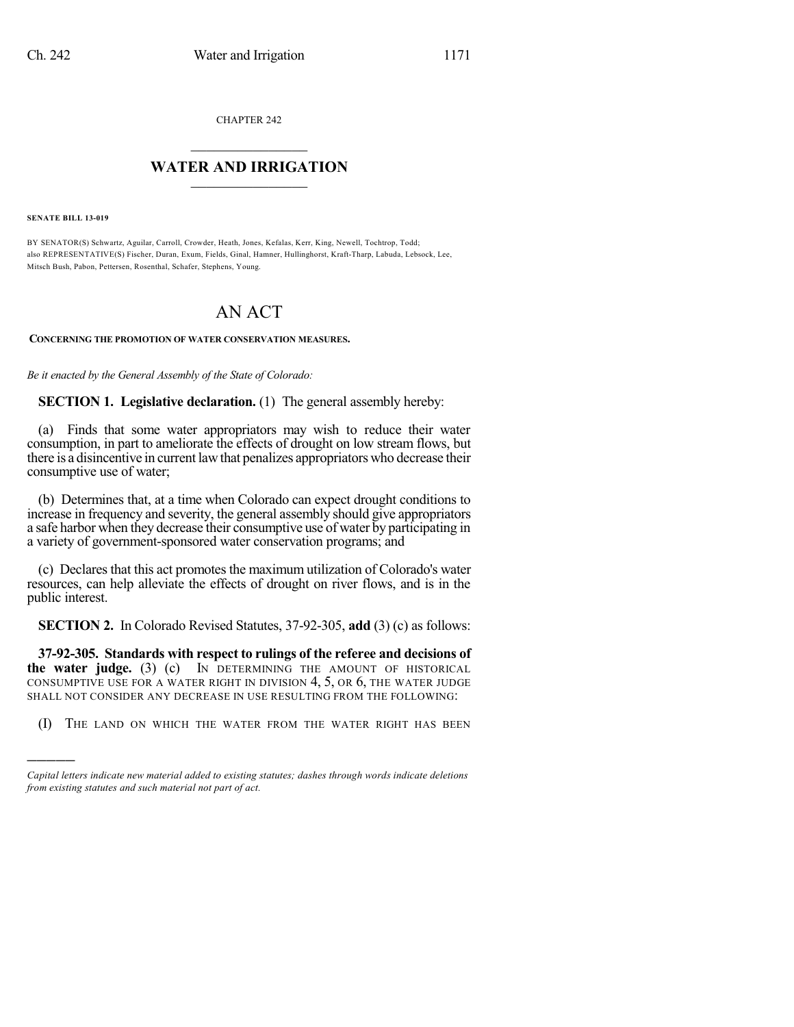CHAPTER 242

## $\mathcal{L}_\text{max}$  . The set of the set of the set of the set of the set of the set of the set of the set of the set of the set of the set of the set of the set of the set of the set of the set of the set of the set of the set **WATER AND IRRIGATION**  $\_$   $\_$

**SENATE BILL 13-019**

)))))

BY SENATOR(S) Schwartz, Aguilar, Carroll, Crowder, Heath, Jones, Kefalas, Kerr, King, Newell, Tochtrop, Todd; also REPRESENTATIVE(S) Fischer, Duran, Exum, Fields, Ginal, Hamner, Hullinghorst, Kraft-Tharp, Labuda, Lebsock, Lee, Mitsch Bush, Pabon, Pettersen, Rosenthal, Schafer, Stephens, Young.

## AN ACT

**CONCERNING THE PROMOTION OF WATER CONSERVATION MEASURES.**

*Be it enacted by the General Assembly of the State of Colorado:*

**SECTION 1. Legislative declaration.** (1) The general assembly hereby:

(a) Finds that some water appropriators may wish to reduce their water consumption, in part to ameliorate the effects of drought on low stream flows, but there is a disincentive in current lawthat penalizes appropriators who decrease their consumptive use of water;

(b) Determines that, at a time when Colorado can expect drought conditions to increase in frequency and severity, the general assembly should give appropriators a safe harbor when they decrease their consumptive use of water by participating in a variety of government-sponsored water conservation programs; and

(c) Declares that this act promotes the maximum utilization of Colorado's water resources, can help alleviate the effects of drought on river flows, and is in the public interest.

**SECTION 2.** In Colorado Revised Statutes, 37-92-305, **add** (3) (c) as follows:

**37-92-305. Standards with respect to rulings of the referee and decisions of the water judge.** (3) (c) IN DETERMINING THE AMOUNT OF HISTORICAL CONSUMPTIVE USE FOR A WATER RIGHT IN DIVISION 4, 5, OR 6, THE WATER JUDGE SHALL NOT CONSIDER ANY DECREASE IN USE RESULTING FROM THE FOLLOWING:

(I) THE LAND ON WHICH THE WATER FROM THE WATER RIGHT HAS BEEN

*Capital letters indicate new material added to existing statutes; dashes through words indicate deletions from existing statutes and such material not part of act.*